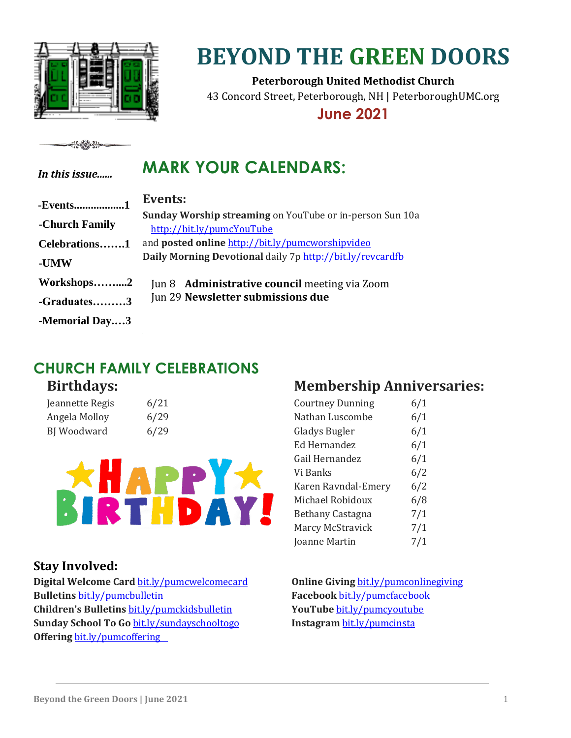

# **BEYOND THE GREEN DOORS**

**Peterborough United Methodist Church** 43 Concord Street, Peterborough, NH | PeterboroughUMC.org

**June 2021**

#### <del>∻{{</del>∕®}<del>}}∘</del>

*In this issue......*

### **MARK YOUR CALENDARS:**

| -Events1       | Events:                                                                              |  |
|----------------|--------------------------------------------------------------------------------------|--|
| -Church Family | Sunday Worship streaming on YouTube or in-person Sun 10a                             |  |
| Celebrations1  | http://bit.ly/pumcYouTube<br>and <b>posted online</b> http://bit.ly/pumcworshipvideo |  |
| -UMW           | Daily Morning Devotional daily 7p http://bit.ly/revcardfb                            |  |
| Workshops2     | Jun 8 Administrative council meeting via Zoom                                        |  |
| -Graduates3    | Jun 29 Newsletter submissions due                                                    |  |
| -Memorial Day3 |                                                                                      |  |

### **CHURCH FAMILY CELEBRATIONS**

### **Birthdays:**

| Jeannette Regis | 6/21 |
|-----------------|------|
| Angela Molloy   | 6/29 |
| BJ Woodward     | 6/29 |



#### **Stay Involved:**

**Digital Welcome Card** [bit.ly/pumcwelcomecard](http://bit.ly/pumcwelcomecard) **Bulletins** [bit.ly/pumcbulletin](http://bit.ly/pumcbulletin) **Children's Bulletins** [bit.ly/pumckidsbulletin](http://bit.ly/pumckidsbulletin) **Sunday School To Go** [bit.ly/sundayschooltogo](https://bit.ly/sundayschooltogo) **Offering** [bit.ly/pumcoffering](http://bit.ly/pumcoffering)

### **Membership Anniversaries:**

| <b>Courtney Dunning</b> | 6/1 |
|-------------------------|-----|
| Nathan Luscombe         | 6/1 |
| Gladys Bugler           | 6/1 |
| Ed Hernandez            | 6/1 |
| Gail Hernandez          | 6/1 |
| Vi Banks                | 6/2 |
| Karen Ravndal-Emery     | 6/2 |
| Michael Robidoux        | 6/8 |
| Bethany Castagna        | 7/1 |
| Marcy McStravick        | 7/1 |
| Joanne Martin           | 7/1 |
|                         |     |

**Online Giving [bit.ly/pumconlinegiving](http://bit.ly/pumconlinegiving) Facebook** [bit.ly/pumcfacebook](https://bit.ly/pumcfacebook) **YouTube** [bit.ly/pumcyoutube](http://bit.ly/pumcyoutube) **Instagram** [bit.ly/pumcinsta](http://bit.ly/pumcinsta)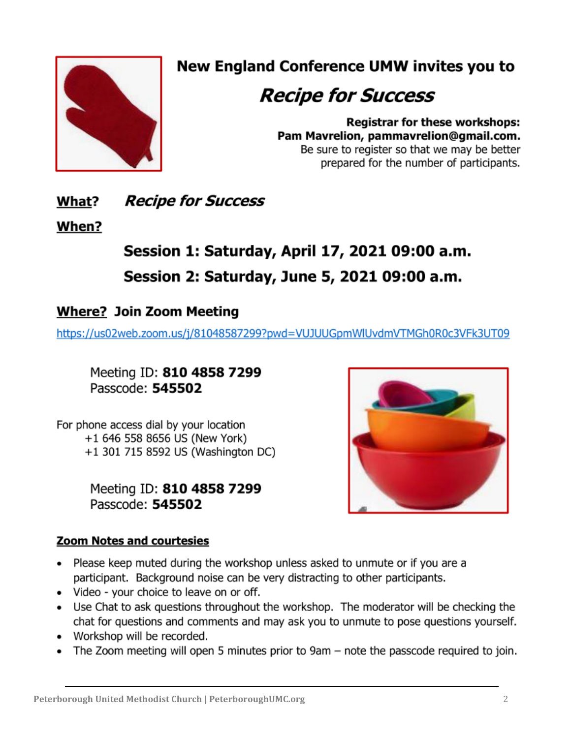

### **New England Conference UMW invites you to**

## **Recipe for Success**

**Registrar for these workshops:** Pam Mavrelion, pammavrelion@gmail.com. Be sure to register so that we may be better prepared for the number of participants.

#### **Recipe for Success** What?

### When?

### Session 1: Saturday, April 17, 2021 09:00 a.m. Session 2: Saturday, June 5, 2021 09:00 a.m.

### **Where? Join Zoom Meeting**

https://us02web.zoom.us/j/81048587299?pwd=VUJUUGpmWlUvdmVTMGh0R0c3VFk3UT09

Meeting ID: 810 4858 7299 Passcode: 545502

For phone access dial by your location +1 646 558 8656 US (New York) +1 301 715 8592 US (Washington DC)

> Meeting ID: 810 4858 7299 Passcode: 545502



#### Zoom Notes and courtesies

- Please keep muted during the workshop unless asked to unmute or if you are a participant. Background noise can be very distracting to other participants.
- Video your choice to leave on or off.
- Use Chat to ask questions throughout the workshop. The moderator will be checking the chat for questions and comments and may ask you to unmute to pose questions yourself.
- Workshop will be recorded.
- The Zoom meeting will open 5 minutes prior to 9am note the passcode required to join.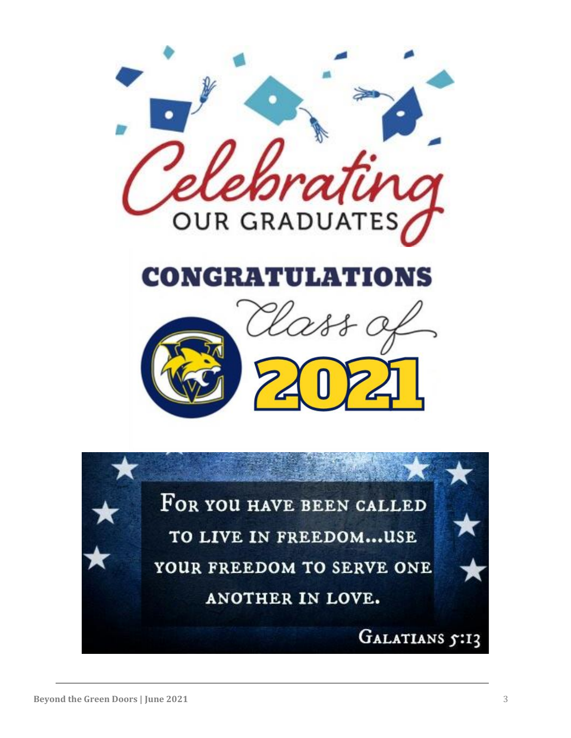